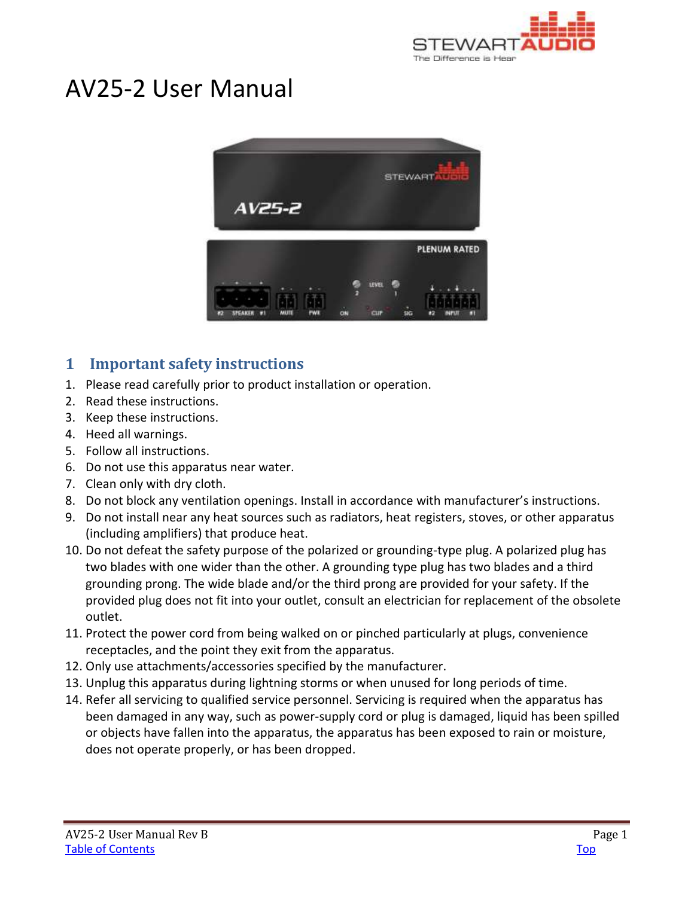

# AV25-2 User Manual



# <span id="page-0-0"></span>**1 Important safety instructions**

- 1. Please read carefully prior to product installation or operation.
- 2. Read these instructions.
- 3. Keep these instructions.
- 4. Heed all warnings.
- 5. Follow all instructions.
- 6. Do not use this apparatus near water.
- 7. Clean only with dry cloth.
- 8. Do not block any ventilation openings. Install in accordance with manufacturer's instructions.
- 9. Do not install near any heat sources such as radiators, heat registers, stoves, or other apparatus (including amplifiers) that produce heat.
- 10. Do not defeat the safety purpose of the polarized or grounding-type plug. A polarized plug has two blades with one wider than the other. A grounding type plug has two blades and a third grounding prong. The wide blade and/or the third prong are provided for your safety. If the provided plug does not fit into your outlet, consult an electrician for replacement of the obsolete outlet.
- 11. Protect the power cord from being walked on or pinched particularly at plugs, convenience receptacles, and the point they exit from the apparatus.
- 12. Only use attachments/accessories specified by the manufacturer.
- 13. Unplug this apparatus during lightning storms or when unused for long periods of time.
- 14. Refer all servicing to qualified service personnel. Servicing is required when the apparatus has been damaged in any way, such as power-supply cord or plug is damaged, liquid has been spilled or objects have fallen into the apparatus, the apparatus has been exposed to rain or moisture, does not operate properly, or has been dropped.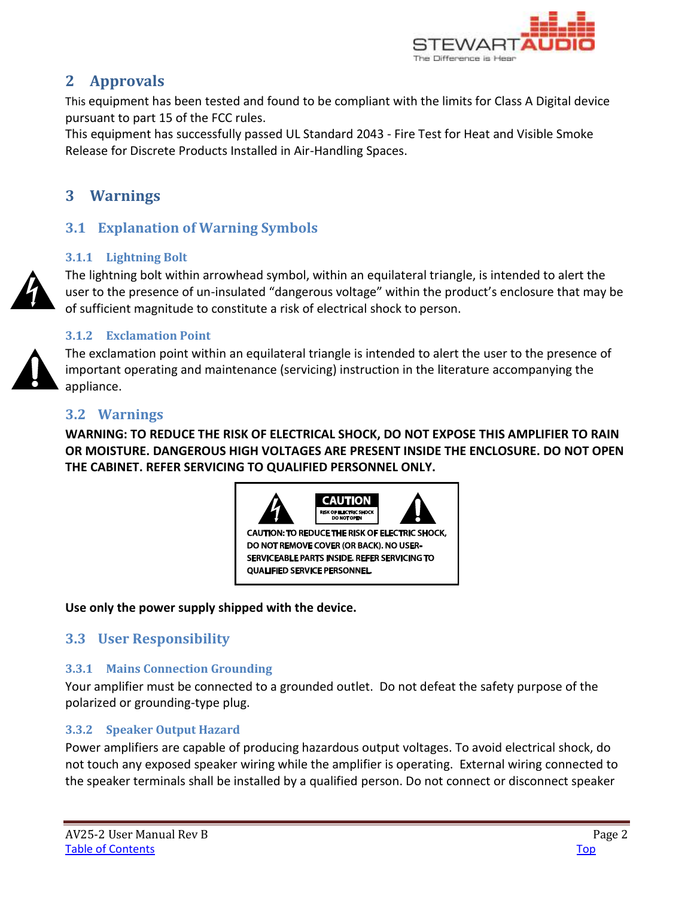

# <span id="page-1-0"></span>**2 Approvals**

This equipment has been tested and found to be compliant with the limits for Class A Digital device pursuant to part 15 of the FCC rules.

This equipment has successfully passed UL Standard 2043 - Fire Test for Heat and Visible Smoke Release for Discrete Products Installed in Air-Handling Spaces.

# <span id="page-1-1"></span>**3 Warnings**

# <span id="page-1-2"></span>**3.1 Explanation of Warning Symbols**

### <span id="page-1-3"></span>**3.1.1 Lightning Bolt**

The lightning bolt within arrowhead symbol, within an equilateral triangle, is intended to alert the user to the presence of un-insulated "dangerous voltage" within the product's enclosure that may be of sufficient magnitude to constitute a risk of electrical shock to person.

### <span id="page-1-4"></span>**3.1.2 Exclamation Point**

The exclamation point within an equilateral triangle is intended to alert the user to the presence of important operating and maintenance (servicing) instruction in the literature accompanying the appliance.

### <span id="page-1-5"></span>**3.2 Warnings**

**WARNING: TO REDUCE THE RISK OF ELECTRICAL SHOCK, DO NOT EXPOSE THIS AMPLIFIER TO RAIN OR MOISTURE. DANGEROUS HIGH VOLTAGES ARE PRESENT INSIDE THE ENCLOSURE. DO NOT OPEN THE CABINET. REFER SERVICING TO QUALIFIED PERSONNEL ONLY.**



**Use only the power supply shipped with the device.** 

# <span id="page-1-6"></span>**3.3 User Responsibility**

### <span id="page-1-7"></span>**3.3.1 Mains Connection Grounding**

Your amplifier must be connected to a grounded outlet. Do not defeat the safety purpose of the polarized or grounding-type plug.

### <span id="page-1-8"></span>**3.3.2 Speaker Output Hazard**

Power amplifiers are capable of producing hazardous output voltages. To avoid electrical shock, do not touch any exposed speaker wiring while the amplifier is operating. External wiring connected to the speaker terminals shall be installed by a qualified person. Do not connect or disconnect speaker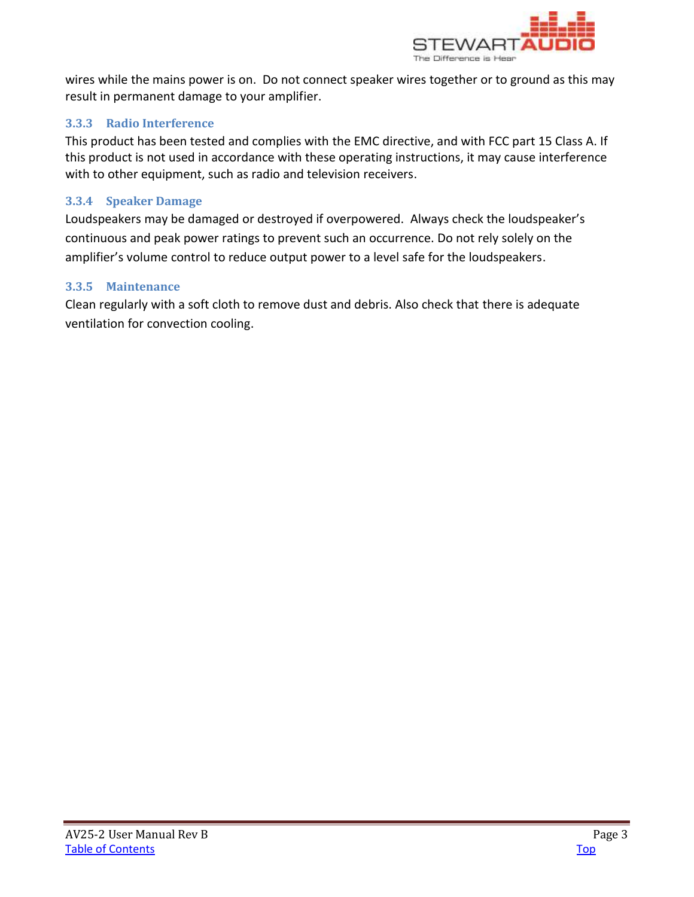

wires while the mains power is on. Do not connect speaker wires together or to ground as this may result in permanent damage to your amplifier.

### <span id="page-2-0"></span>**3.3.3 Radio Interference**

This product has been tested and complies with the EMC directive, and with FCC part 15 Class A. If this product is not used in accordance with these operating instructions, it may cause interference with to other equipment, such as radio and television receivers.

### <span id="page-2-1"></span>**3.3.4 Speaker Damage**

Loudspeakers may be damaged or destroyed if overpowered. Always check the loudspeaker's continuous and peak power ratings to prevent such an occurrence. Do not rely solely on the amplifier's volume control to reduce output power to a level safe for the loudspeakers.

### <span id="page-2-2"></span>**3.3.5 Maintenance**

Clean regularly with a soft cloth to remove dust and debris. Also check that there is adequate ventilation for convection cooling.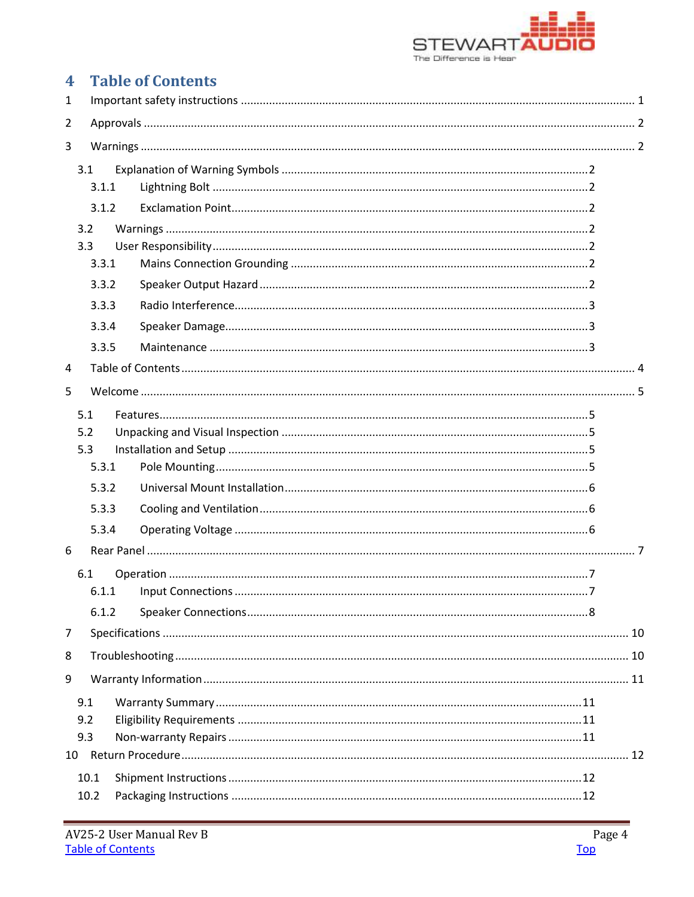

# <span id="page-3-0"></span>**4** Table of Contents

| 1              |                   |       |  |  |  |  |  |
|----------------|-------------------|-------|--|--|--|--|--|
| $\overline{2}$ |                   |       |  |  |  |  |  |
| 3              |                   |       |  |  |  |  |  |
|                | 3.1               | 3.1.1 |  |  |  |  |  |
|                |                   | 3.1.2 |  |  |  |  |  |
|                | 3.2               |       |  |  |  |  |  |
|                | 3.3               |       |  |  |  |  |  |
|                |                   | 3.3.1 |  |  |  |  |  |
|                |                   | 3.3.2 |  |  |  |  |  |
|                |                   | 3.3.3 |  |  |  |  |  |
|                |                   | 3.3.4 |  |  |  |  |  |
|                |                   | 3.3.5 |  |  |  |  |  |
| 4              |                   |       |  |  |  |  |  |
| 5              |                   |       |  |  |  |  |  |
|                | 5.1               |       |  |  |  |  |  |
|                | 5.2               |       |  |  |  |  |  |
|                | 5.3               |       |  |  |  |  |  |
|                |                   | 5.3.1 |  |  |  |  |  |
|                |                   | 5.3.2 |  |  |  |  |  |
|                |                   | 5.3.3 |  |  |  |  |  |
|                |                   | 5.3.4 |  |  |  |  |  |
| 6              |                   |       |  |  |  |  |  |
|                | 6.1               | 6.1.1 |  |  |  |  |  |
|                |                   | 6.1.2 |  |  |  |  |  |
| $\overline{7}$ |                   |       |  |  |  |  |  |
| 8              |                   |       |  |  |  |  |  |
| 9              |                   |       |  |  |  |  |  |
| 10             | 9.1<br>9.2<br>9.3 |       |  |  |  |  |  |
|                |                   | 10.1  |  |  |  |  |  |
|                |                   | 10.2  |  |  |  |  |  |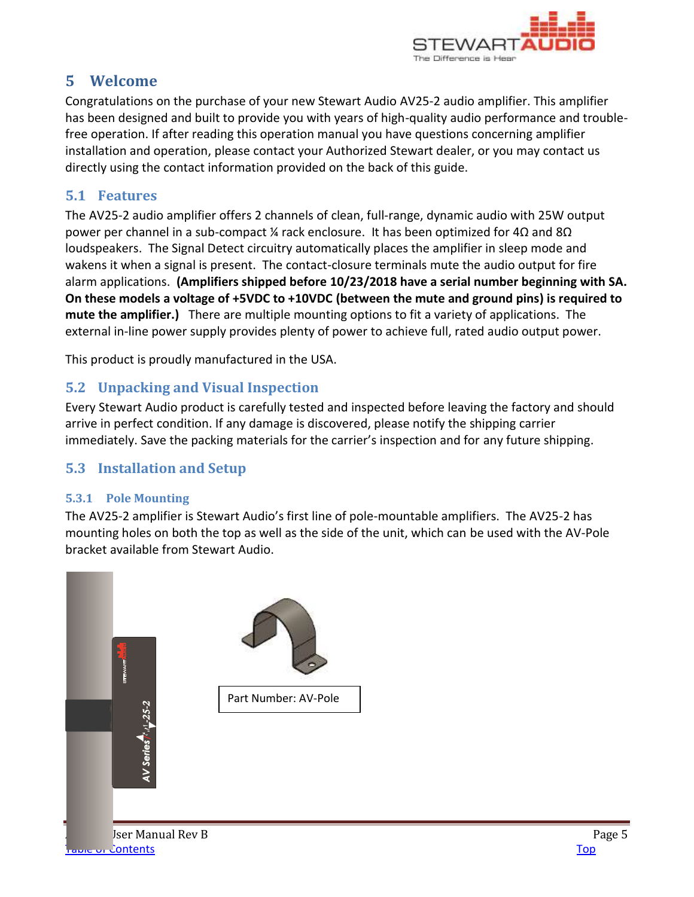

# <span id="page-4-0"></span>**5 Welcome**

Congratulations on the purchase of your new Stewart Audio AV25-2 audio amplifier. This amplifier has been designed and built to provide you with years of high-quality audio performance and troublefree operation. If after reading this operation manual you have questions concerning amplifier installation and operation, please contact your Authorized Stewart dealer, or you may contact us directly using the contact information provided on the back of this guide.

# <span id="page-4-1"></span>**5.1 Features**

The AV25-2 audio amplifier offers 2 channels of clean, full-range, dynamic audio with 25W output power per channel in a sub-compact ¼ rack enclosure. It has been optimized for  $4\Omega$  and  $8\Omega$ loudspeakers. The Signal Detect circuitry automatically places the amplifier in sleep mode and wakens it when a signal is present. The contact-closure terminals mute the audio output for fire alarm applications. **(Amplifiers shipped before 10/23/2018 have a serial number beginning with SA. On these models a voltage of +5VDC to +10VDC (between the mute and ground pins) is required to mute the amplifier.)** There are multiple mounting options to fit a variety of applications. The external in-line power supply provides plenty of power to achieve full, rated audio output power.

This product is proudly manufactured in the USA.

# <span id="page-4-2"></span>**5.2 Unpacking and Visual Inspection**

Every Stewart Audio product is carefully tested and inspected before leaving the factory and should arrive in perfect condition. If any damage is discovered, please notify the shipping carrier immediately. Save the packing materials for the carrier's inspection and for any future shipping.

# <span id="page-4-3"></span>**5.3 Installation and Setup**

### <span id="page-4-4"></span>**5.3.1 Pole Mounting**

The AV25-2 amplifier is Stewart Audio's first line of pole-mountable amplifiers. The AV25-2 has mounting holes on both the top as well as the side of the unit, which can be used with the AV-Pole bracket available from Stewart Audio.

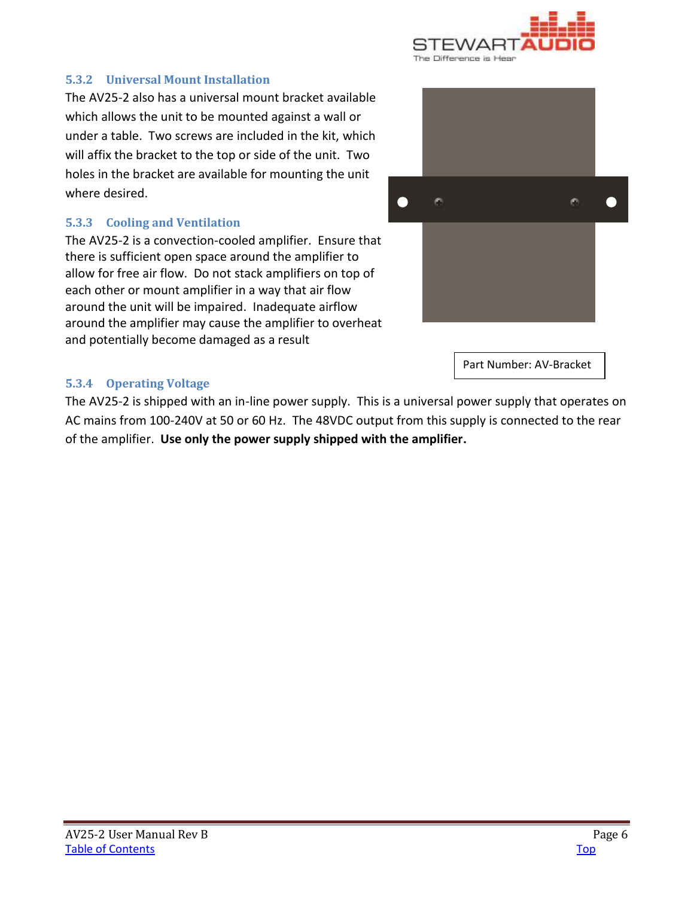

### <span id="page-5-0"></span>**5.3.2 Universal Mount Installation**

The AV25-2 also has a universal mount bracket available which allows the unit to be mounted against a wall or under a table. Two screws are included in the kit, which will affix the bracket to the top or side of the unit. Two holes in the bracket are available for mounting the unit where desired.

#### <span id="page-5-1"></span>**5.3.3 Cooling and Ventilation**

The AV25-2 is a convection-cooled amplifier. Ensure that there is sufficient open space around the amplifier to allow for free air flow. Do not stack amplifiers on top of each other or mount amplifier in a way that air flow around the unit will be impaired. Inadequate airflow around the amplifier may cause the amplifier to overheat and potentially become damaged as a result



Part Number: AV-Bracket

### <span id="page-5-2"></span>**5.3.4 Operating Voltage**

The AV25-2 is shipped with an in-line power supply. This is a universal power supply that operates on AC mains from 100-240V at 50 or 60 Hz. The 48VDC output from this supply is connected to the rear of the amplifier. **Use only the power supply shipped with the amplifier.**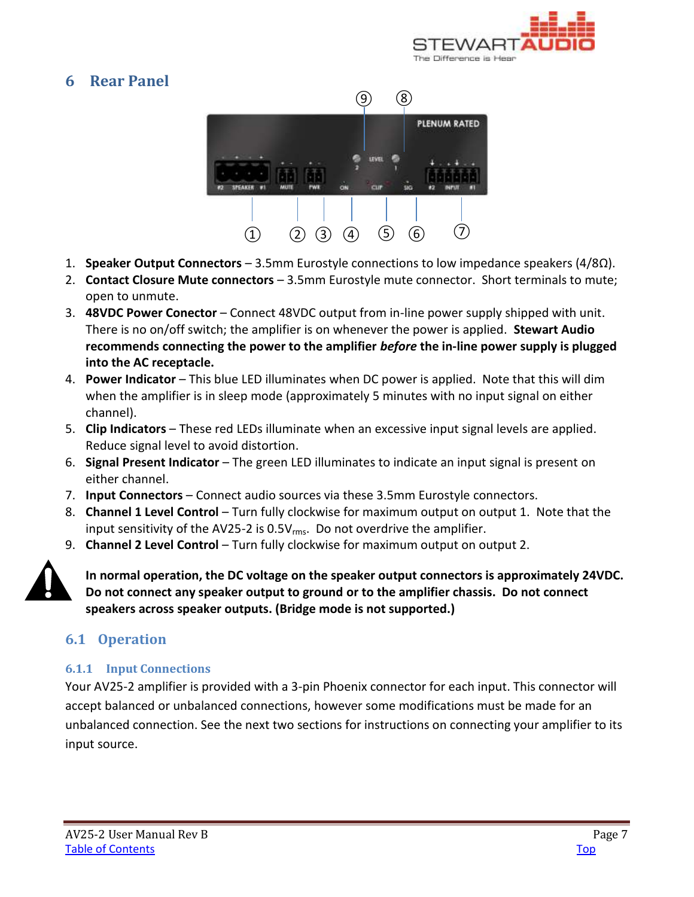

# <span id="page-6-0"></span>**6 Rear Panel**



- 1. **Speaker Output Connectors** 3.5mm Eurostyle connections to low impedance speakers (4/8Ω).
- 2. **Contact Closure Mute connectors**  3.5mm Eurostyle mute connector. Short terminals to mute; open to unmute.
- 3. **48VDC Power Conector**  Connect 48VDC output from in-line power supply shipped with unit. There is no on/off switch; the amplifier is on whenever the power is applied. **Stewart Audio recommends connecting the power to the amplifier** *before* **the in-line power supply is plugged into the AC receptacle.**
- 4. **Power Indicator** This blue LED illuminates when DC power is applied. Note that this will dim when the amplifier is in sleep mode (approximately 5 minutes with no input signal on either channel).
- 5. **Clip Indicators** These red LEDs illuminate when an excessive input signal levels are applied. Reduce signal level to avoid distortion.
- 6. **Signal Present Indicator** The green LED illuminates to indicate an input signal is present on either channel.
- 7. **Input Connectors** Connect audio sources via these 3.5mm Eurostyle connectors.
- 8. **Channel 1 Level Control** Turn fully clockwise for maximum output on output 1. Note that the input sensitivity of the AV25-2 is 0.5V<sub>rms</sub>. Do not overdrive the amplifier.
- 9. **Channel 2 Level Control** Turn fully clockwise for maximum output on output 2.



**In normal operation, the DC voltage on the speaker output connectors is approximately 24VDC. Do not connect any speaker output to ground or to the amplifier chassis. Do not connect speakers across speaker outputs. (Bridge mode is not supported.)** 

# <span id="page-6-1"></span>**6.1 Operation**

### <span id="page-6-2"></span>**6.1.1 Input Connections**

Your AV25-2 amplifier is provided with a 3-pin Phoenix connector for each input. This connector will accept balanced or unbalanced connections, however some modifications must be made for an unbalanced connection. See the next two sections for instructions on connecting your amplifier to its input source.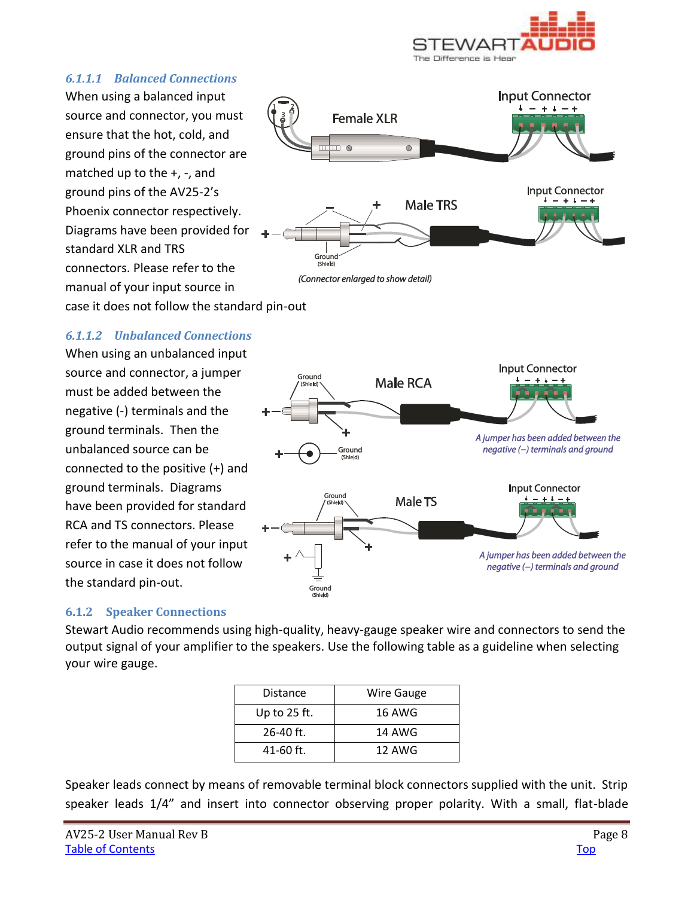

#### *6.1.1.1 Balanced Connections*

When using a balanced input source and connector, you must ensure that the hot, cold, and ground pins of the connector are matched up to the +, -, and ground pins of the AV25-2's Phoenix connector respectively. Diagrams have been provided for standard XLR and TRS connectors. Please refer to the manual of your input source in case it does not follow the standard pin-out



### *6.1.1.2 Unbalanced Connections*

When using an unbalanced input source and connector, a jumper must be added between the negative (-) terminals and the ground terminals. Then the unbalanced source can be connected to the positive (+) and ground terminals. Diagrams have been provided for standard RCA and TS connectors. Please refer to the manual of your input source in case it does not follow the standard pin-out.



### <span id="page-7-0"></span>**6.1.2 Speaker Connections**

Stewart Audio recommends using high-quality, heavy-gauge speaker wire and connectors to send the output signal of your amplifier to the speakers. Use the following table as a guideline when selecting your wire gauge.

| Distance       | Wire Gauge |  |  |  |
|----------------|------------|--|--|--|
| Up to $25$ ft. | 16 AWG     |  |  |  |
| 26-40 ft.      | 14 AWG     |  |  |  |
| 41-60 ft.      | 12 AWG     |  |  |  |

Speaker leads connect by means of removable terminal block connectors supplied with the unit. Strip speaker leads 1/4" and insert into connector observing proper polarity. With a small, flat-blade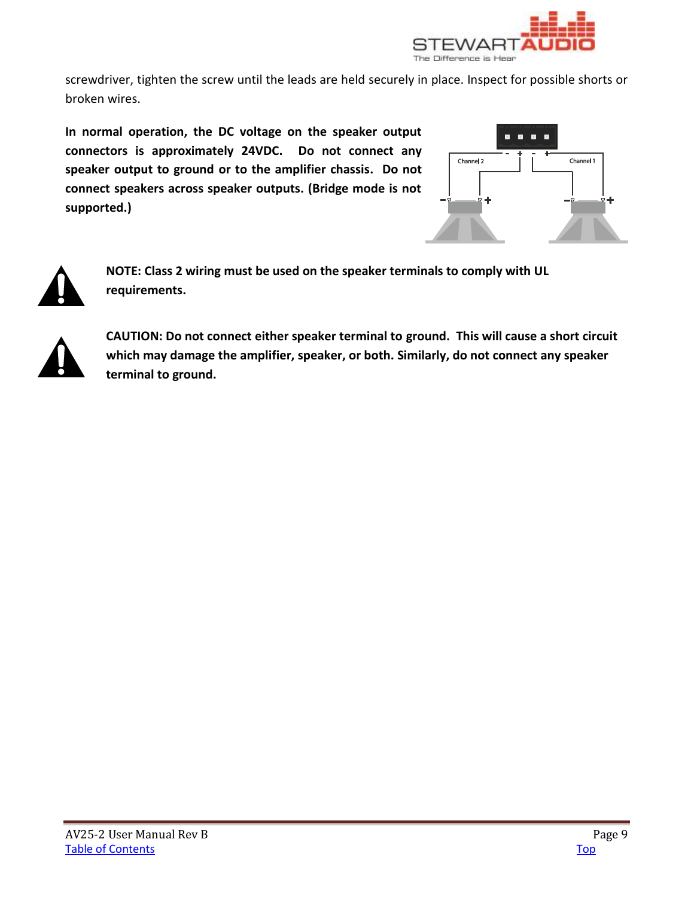

screwdriver, tighten the screw until the leads are held securely in place. Inspect for possible shorts or broken wires.

**In normal operation, the DC voltage on the speaker output connectors is approximately 24VDC. Do not connect any speaker output to ground or to the amplifier chassis. Do not connect speakers across speaker outputs. (Bridge mode is not supported.)** 





**NOTE: Class 2 wiring must be used on the speaker terminals to comply with UL requirements.** 



**CAUTION: Do not connect either speaker terminal to ground. This will cause a short circuit which may damage the amplifier, speaker, or both. Similarly, do not connect any speaker terminal to ground.**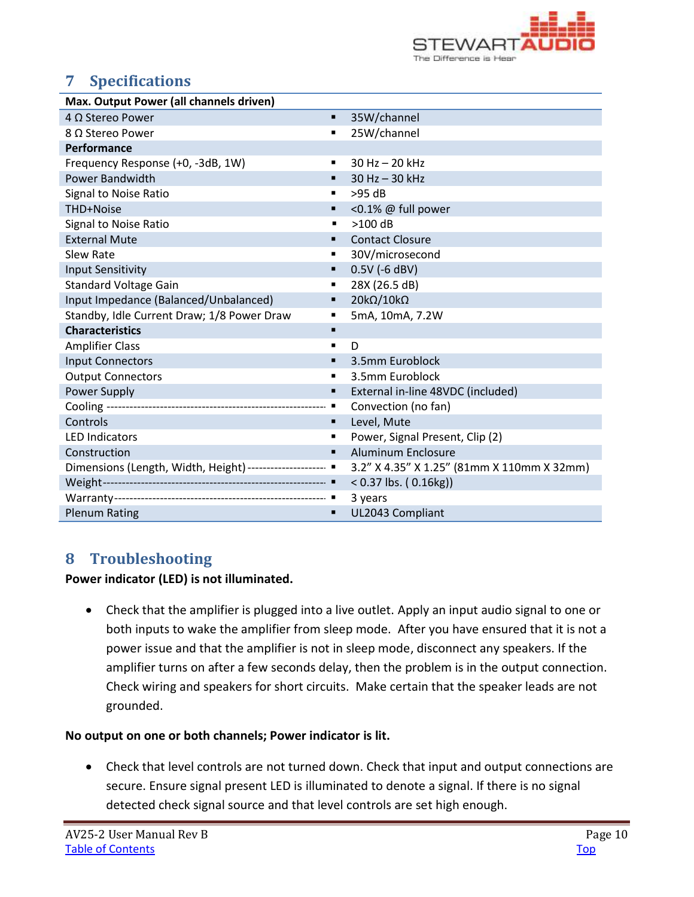

# <span id="page-9-0"></span>**7 Specifications**

| Max. Output Power (all channels driven)                   |                |                                            |  |  |  |  |  |
|-----------------------------------------------------------|----------------|--------------------------------------------|--|--|--|--|--|
| $4 \Omega$ Stereo Power                                   | ٠              | 35W/channel                                |  |  |  |  |  |
| 8 Ω Stereo Power                                          | ٠              | 25W/channel                                |  |  |  |  |  |
| Performance                                               |                |                                            |  |  |  |  |  |
| Frequency Response (+0, -3dB, 1W)                         | ٠              | 30 Hz - 20 kHz                             |  |  |  |  |  |
| <b>Power Bandwidth</b>                                    | ٠              | 30 Hz - 30 kHz                             |  |  |  |  |  |
| Signal to Noise Ratio                                     | ٠              | $>95$ dB                                   |  |  |  |  |  |
| THD+Noise                                                 | ٠              | <0.1% @ full power                         |  |  |  |  |  |
| Signal to Noise Ratio                                     | $\blacksquare$ | $>100$ dB                                  |  |  |  |  |  |
| <b>External Mute</b>                                      | ٠              | <b>Contact Closure</b>                     |  |  |  |  |  |
| <b>Slew Rate</b>                                          | ٠              | 30V/microsecond                            |  |  |  |  |  |
| <b>Input Sensitivity</b>                                  | ٠              | $0.5V$ (-6 dBV)                            |  |  |  |  |  |
| <b>Standard Voltage Gain</b>                              | ٠              | 28X (26.5 dB)                              |  |  |  |  |  |
| Input Impedance (Balanced/Unbalanced)                     | ٠              | $20k\Omega/10k\Omega$                      |  |  |  |  |  |
| Standby, Idle Current Draw; 1/8 Power Draw                | ٠              | 5mA, 10mA, 7.2W                            |  |  |  |  |  |
| <b>Characteristics</b>                                    | п              |                                            |  |  |  |  |  |
| <b>Amplifier Class</b>                                    | ٠              | D                                          |  |  |  |  |  |
| <b>Input Connectors</b>                                   | ٠              | 3.5mm Euroblock                            |  |  |  |  |  |
| <b>Output Connectors</b>                                  | ٠              | 3.5mm Euroblock                            |  |  |  |  |  |
| Power Supply                                              | ٠              | External in-line 48VDC (included)          |  |  |  |  |  |
|                                                           | п              | Convection (no fan)                        |  |  |  |  |  |
| Controls                                                  | п              | Level, Mute                                |  |  |  |  |  |
| <b>LED Indicators</b>                                     | ٠              | Power, Signal Present, Clip (2)            |  |  |  |  |  |
| Construction                                              | ٠              | <b>Aluminum Enclosure</b>                  |  |  |  |  |  |
| Dimensions (Length, Width, Height) -------------------- ■ |                | 3.2" X 4.35" X 1.25" (81mm X 110mm X 32mm) |  |  |  |  |  |
|                                                           |                | $< 0.37$ lbs. (0.16kg))                    |  |  |  |  |  |
|                                                           |                | 3 years                                    |  |  |  |  |  |
| <b>Plenum Rating</b>                                      | п              | UL2043 Compliant                           |  |  |  |  |  |

# <span id="page-9-1"></span>**8 Troubleshooting**

**Power indicator (LED) is not illuminated.** 

 Check that the amplifier is plugged into a live outlet. Apply an input audio signal to one or both inputs to wake the amplifier from sleep mode. After you have ensured that it is not a power issue and that the amplifier is not in sleep mode, disconnect any speakers. If the amplifier turns on after a few seconds delay, then the problem is in the output connection. Check wiring and speakers for short circuits. Make certain that the speaker leads are not grounded.

### **No output on one or both channels; Power indicator is lit.**

 Check that level controls are not turned down. Check that input and output connections are secure. Ensure signal present LED is illuminated to denote a signal. If there is no signal detected check signal source and that level controls are set high enough.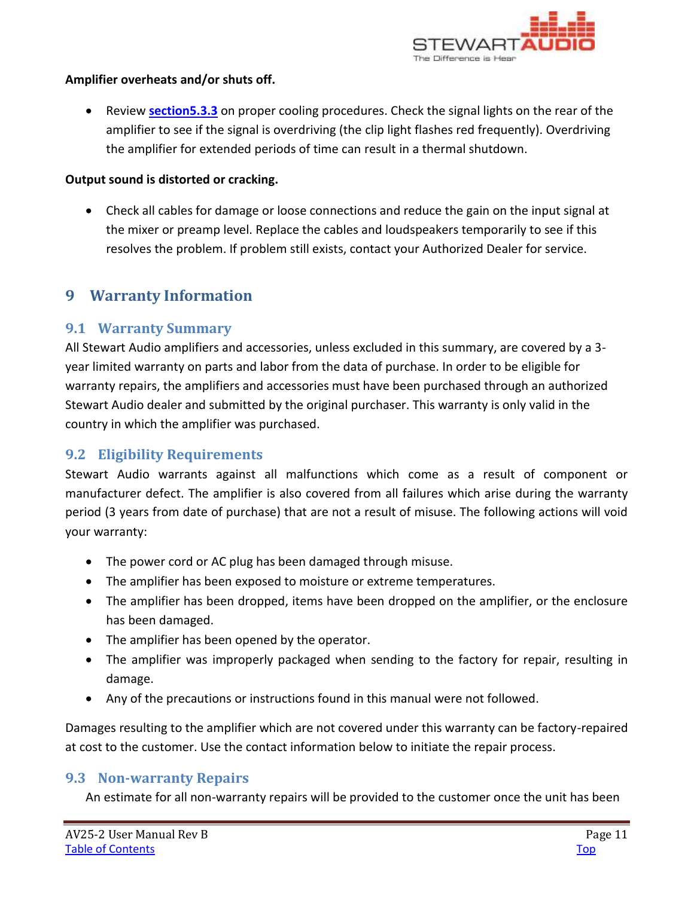

#### **Amplifier overheats and/or shuts off.**

 Review **[section5.3.3](#page-5-1)** on proper cooling procedures. Check the signal lights on the rear of the amplifier to see if the signal is overdriving (the clip light flashes red frequently). Overdriving the amplifier for extended periods of time can result in a thermal shutdown.

#### **Output sound is distorted or cracking.**

 Check all cables for damage or loose connections and reduce the gain on the input signal at the mixer or preamp level. Replace the cables and loudspeakers temporarily to see if this resolves the problem. If problem still exists, contact your Authorized Dealer for service.

# <span id="page-10-0"></span>**9 Warranty Information**

### <span id="page-10-1"></span>**9.1 Warranty Summary**

All Stewart Audio amplifiers and accessories, unless excluded in this summary, are covered by a 3 year limited warranty on parts and labor from the data of purchase. In order to be eligible for warranty repairs, the amplifiers and accessories must have been purchased through an authorized Stewart Audio dealer and submitted by the original purchaser. This warranty is only valid in the country in which the amplifier was purchased.

### <span id="page-10-2"></span>**9.2 Eligibility Requirements**

Stewart Audio warrants against all malfunctions which come as a result of component or manufacturer defect. The amplifier is also covered from all failures which arise during the warranty period (3 years from date of purchase) that are not a result of misuse. The following actions will void your warranty:

- The power cord or AC plug has been damaged through misuse.
- The amplifier has been exposed to moisture or extreme temperatures.
- The amplifier has been dropped, items have been dropped on the amplifier, or the enclosure has been damaged.
- The amplifier has been opened by the operator.
- The amplifier was improperly packaged when sending to the factory for repair, resulting in damage.
- Any of the precautions or instructions found in this manual were not followed.

Damages resulting to the amplifier which are not covered under this warranty can be factory-repaired at cost to the customer. Use the contact information below to initiate the repair process.

### <span id="page-10-3"></span>**9.3 Non-warranty Repairs**

An estimate for all non-warranty repairs will be provided to the customer once the unit has been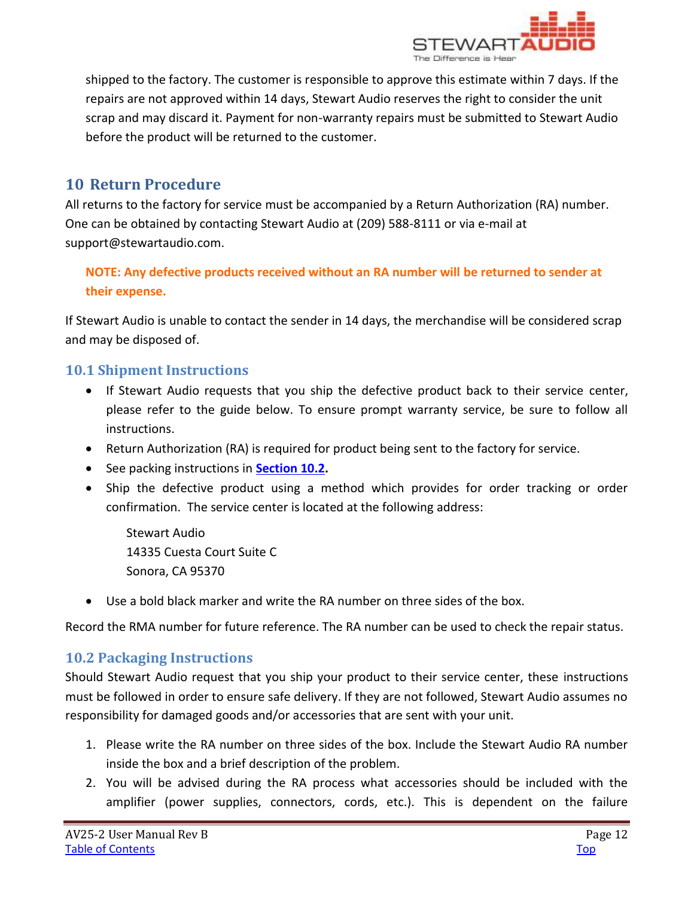

shipped to the factory. The customer is responsible to approve this estimate within 7 days. If the repairs are not approved within 14 days, Stewart Audio reserves the right to consider the unit scrap and may discard it. Payment for non-warranty repairs must be submitted to Stewart Audio before the product will be returned to the customer.

# <span id="page-11-0"></span>**10 Return Procedure**

All returns to the factory for service must be accompanied by a Return Authorization (RA) number. One can be obtained by contacting Stewart Audio at (209) 588-8111 or via e-mail at support@stewartaudio.com.

### **NOTE: Any defective products received without an RA number will be returned to sender at their expense.**

If Stewart Audio is unable to contact the sender in 14 days, the merchandise will be considered scrap and may be disposed of.

### <span id="page-11-1"></span>**10.1 Shipment Instructions**

- If Stewart Audio requests that you ship the defective product back to their service center, please refer to the guide below. To ensure prompt warranty service, be sure to follow all instructions.
- Return Authorization (RA) is required for product being sent to the factory for service.
- See packing instructions in **[Section 10.2.](#page-11-2)**
- Ship the defective product using a method which provides for order tracking or order confirmation. The service center is located at the following address:

Stewart Audio 14335 Cuesta Court Suite C Sonora, CA 95370

Use a bold black marker and write the RA number on three sides of the box.

Record the RMA number for future reference. The RA number can be used to check the repair status.

### <span id="page-11-2"></span>**10.2 Packaging Instructions**

Should Stewart Audio request that you ship your product to their service center, these instructions must be followed in order to ensure safe delivery. If they are not followed, Stewart Audio assumes no responsibility for damaged goods and/or accessories that are sent with your unit.

- 1. Please write the RA number on three sides of the box. Include the Stewart Audio RA number inside the box and a brief description of the problem.
- 2. You will be advised during the RA process what accessories should be included with the amplifier (power supplies, connectors, cords, etc.). This is dependent on the failure